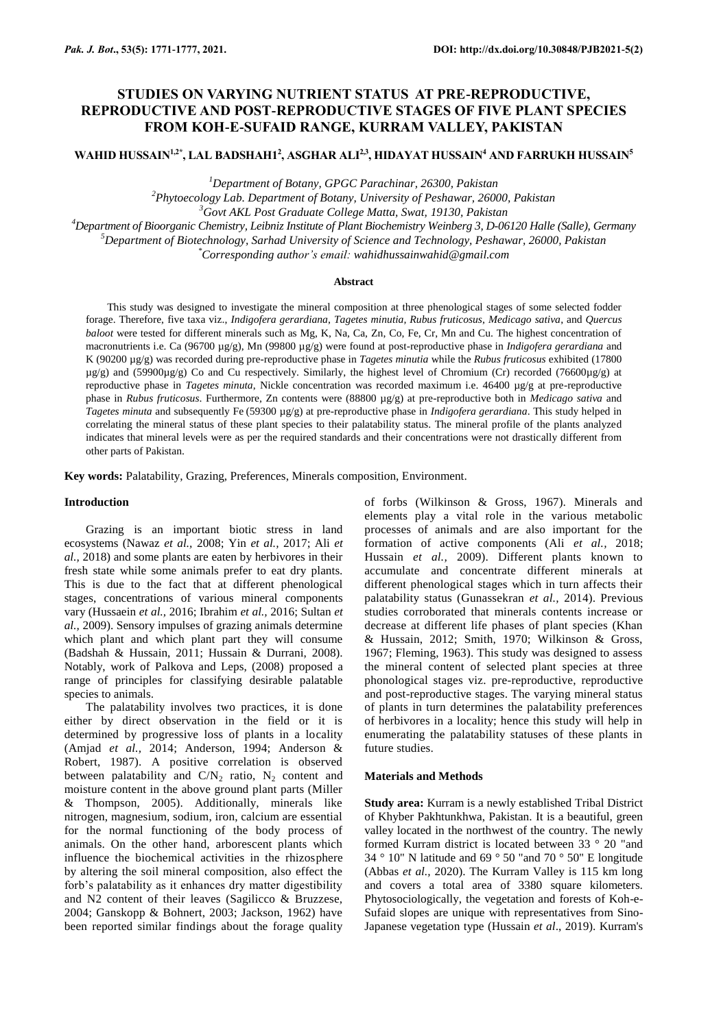# **STUDIES ON VARYING NUTRIENT STATUS AT PRE-REPRODUCTIVE, REPRODUCTIVE AND POST-REPRODUCTIVE STAGES OF FIVE PLANT SPECIES FROM KOH-E-SUFAID RANGE, KURRAM VALLEY, PAKISTAN**

**WAHID HUSSAIN1,2\*, LAL BADSHAH1<sup>2</sup> , ASGHAR ALI2,3, HIDAYAT HUSSAIN<sup>4</sup> AND FARRUKH HUSSAIN<sup>5</sup>**

*<sup>1</sup>Department of Botany, GPGC Parachinar, 26300, Pakistan*

*<sup>2</sup>Phytoecology Lab. Department of Botany, University of Peshawar, 26000, Pakistan <sup>3</sup>Govt AKL Post Graduate College Matta, Swat, 19130, Pakistan*

*<sup>4</sup>Department of Bioorganic Chemistry, Leibniz Institute of Plant Biochemistry Weinberg 3, D-06120 Halle (Salle), Germany*

*<sup>5</sup>Department of Biotechnology, Sarhad University of Science and Technology, Peshawar, 26000, Pakistan*

*\*Corresponding author's email: [wahidhussainwahid@gmail.com](mailto:wahidhussainwahid@gmail.com)*

#### **Abstract**

This study was designed to investigate the mineral composition at three phenological stages of some selected fodder forage. Therefore, five taxa viz., *Indigofera gerardiana*, *Tagetes minutia, Rubus fruticosus*, *Medicago sativa*, and *Quercus baloot* were tested for different minerals such as Mg, K, Na, Ca, Zn, Co, Fe, Cr, Mn and Cu. The highest concentration of macronutrients i.e. Ca (96700 µg/g), Mn (99800 µg/g) were found at post-reproductive phase in *Indigofera gerardiana* and K (90200 µg/g) was recorded during pre-reproductive phase in *Tagetes minutia* while the *Rubus fruticosus* exhibited (17800 µg/g) and (59900µg/g) Co and Cu respectively. Similarly, the highest level of Chromium (Cr) recorded (76600µg/g) at reproductive phase in *Tagetes minuta*, Nickle concentration was recorded maximum i.e. 46400 µg/g at pre-reproductive phase in *Rubus fruticosus*. Furthermore, Zn contents were (88800 µg/g) at pre-reproductive both in *Medicago sativa* and *Tagetes minuta* and subsequently Fe (59300 µg/g) at pre-reproductive phase in *Indigofera gerardiana*. This study helped in correlating the mineral status of these plant species to their palatability status. The mineral profile of the plants analyzed indicates that mineral levels were as per the required standards and their concentrations were not drastically different from other parts of Pakistan.

**Key words:** Palatability, Grazing, Preferences, Minerals composition, Environment.

#### **Introduction**

Grazing is an important biotic stress in land ecosystems (Nawaz *et al.,* 2008; Yin *et al.,* 2017; Ali *et al.,* 2018) and some plants are eaten by herbivores in their fresh state while some animals prefer to eat dry plants. This is due to the fact that at different phenological stages, concentrations of various mineral components vary (Hussaein *et al.,* 2016; Ibrahim *et al.,* 2016; Sultan *et al.,* 2009). Sensory impulses of grazing animals determine which plant and which plant part they will consume (Badshah & Hussain, 2011; Hussain & Durrani, 2008). Notably, work of Palkova and Leps, (2008) proposed a range of principles for classifying desirable palatable species to animals.

The palatability involves two practices, it is done either by direct observation in the field or it is determined by progressive loss of plants in a locality (Amjad *et al.,* 2014; Anderson, 1994; Anderson & Robert, 1987). A positive correlation is observed between palatability and  $CN_2$  ratio,  $N_2$  content and moisture content in the above ground plant parts (Miller & Thompson, 2005). Additionally, minerals like nitrogen, magnesium, sodium, iron, calcium are essential for the normal functioning of the body process of animals. On the other hand, arborescent plants which influence the biochemical activities in the rhizosphere by altering the soil mineral composition, also effect the forb's palatability as it enhances dry matter digestibility and N2 content of their leaves (Sagilicco & Bruzzese, 2004; Ganskopp & Bohnert, 2003; Jackson, 1962) have been reported similar findings about the forage quality of forbs (Wilkinson & Gross, 1967). Minerals and elements play a vital role in the various metabolic processes of animals and are also important for the formation of active components (Ali *et al.,* 2018; Hussain *et al.,* 2009). Different plants known to accumulate and concentrate different minerals at different phenological stages which in turn affects their palatability status (Gunassekran *et al.,* 2014). Previous studies corroborated that minerals contents increase or decrease at different life phases of plant species (Khan & Hussain, 2012; Smith, 1970; Wilkinson & Gross, 1967; Fleming, 1963). This study was designed to assess the mineral content of selected plant species at three phonological stages viz. pre-reproductive, reproductive and post-reproductive stages. The varying mineral status of plants in turn determines the palatability preferences of herbivores in a locality; hence this study will help in enumerating the palatability statuses of these plants in future studies.

### **Materials and Methods**

**Study area:** Kurram is a newly established Tribal District of Khyber Pakhtunkhwa, Pakistan. It is a beautiful, green valley located in the northwest of the country. The newly formed Kurram district is located between 33 ° 20 "and 34  $\degree$  10" N latitude and 69  $\degree$  50 "and 70  $\degree$  50" E longitude (Abbas *et al.,* 2020). The Kurram Valley is 115 km long and covers a total area of 3380 square kilometers. Phytosociologically, the vegetation and forests of Koh-e-Sufaid slopes are unique with representatives from Sino-Japanese vegetation type (Hussain *et al*., 2019). Kurram's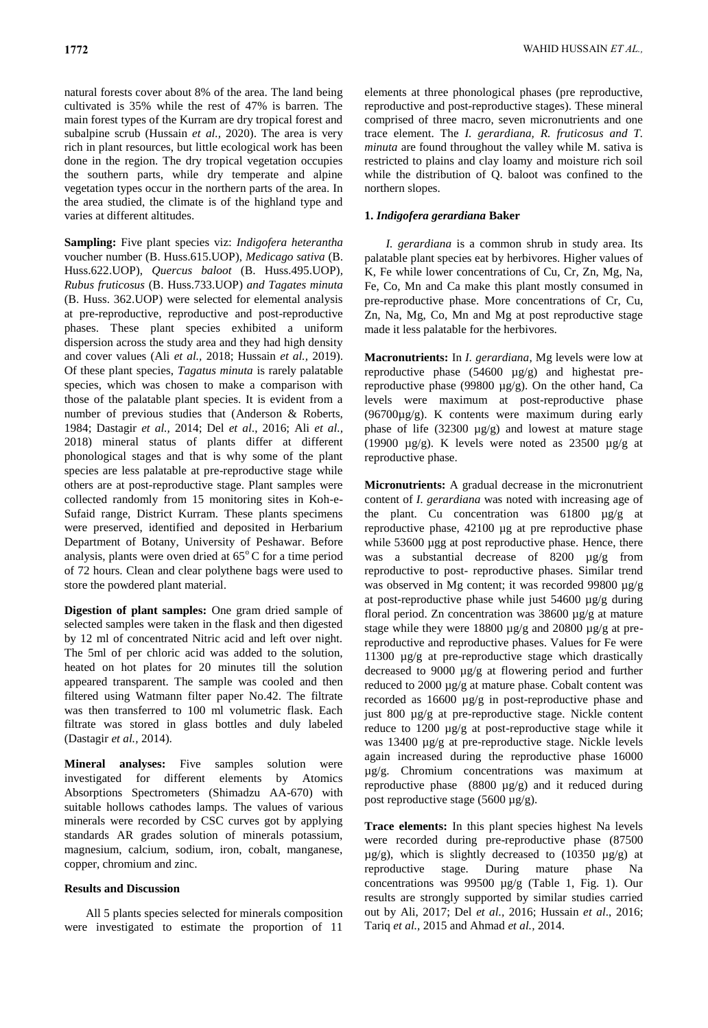natural forests cover about 8% of the area. The land being cultivated is 35% while the rest of 47% is barren. The main forest types of the Kurram are dry tropical forest and subalpine scrub (Hussain *et al.,* 2020). The area is very rich in plant resources, but little ecological work has been done in the region. The dry tropical vegetation occupies the southern parts, while dry temperate and alpine vegetation types occur in the northern parts of the area. In the area studied, the climate is of the highland type and varies at different altitudes.

**Sampling:** Five plant species viz: *Indigofera heterantha* voucher number (B. Huss.615.UOP), *Medicago sativa* (B. Huss.622.UOP), *Quercus baloot* (B. Huss.495.UOP)*, Rubus fruticosus* (B. Huss.733.UOP) *and Tagates minuta* (B. Huss. 362.UOP) were selected for elemental analysis at pre-reproductive, reproductive and post-reproductive phases. These plant species exhibited a uniform dispersion across the study area and they had high density and cover values (Ali *et al.,* 2018; Hussain *et al.,* 2019). Of these plant species, *Tagatus minuta* is rarely palatable species, which was chosen to make a comparison with those of the palatable plant species. It is evident from a number of previous studies that (Anderson & Roberts, 1984; Dastagir *et al.,* 2014; Del *et al*., 2016; Ali *et al.,* 2018) mineral status of plants differ at different phonological stages and that is why some of the plant species are less palatable at pre-reproductive stage while others are at post-reproductive stage. Plant samples were collected randomly from 15 monitoring sites in Koh-e-Sufaid range, District Kurram. These plants specimens were preserved, identified and deposited in Herbarium Department of Botany, University of Peshawar. Before analysis, plants were oven dried at  $65^{\circ}$ C for a time period of 72 hours. Clean and clear polythene bags were used to store the powdered plant material.

**Digestion of plant samples:** One gram dried sample of selected samples were taken in the flask and then digested by 12 ml of concentrated Nitric acid and left over night. The 5ml of per chloric acid was added to the solution, heated on hot plates for 20 minutes till the solution appeared transparent. The sample was cooled and then filtered using Watmann filter paper No.42. The filtrate was then transferred to 100 ml volumetric flask. Each filtrate was stored in glass bottles and duly labeled (Dastagir *et al.,* 2014).

**Mineral analyses:** Five samples solution were investigated for different elements by Atomics Absorptions Spectrometers (Shimadzu AA-670) with suitable hollows cathodes lamps. The values of various minerals were recorded by CSC curves got by applying standards AR grades solution of minerals potassium, magnesium, calcium, sodium, iron, cobalt, manganese, copper, chromium and zinc.

## **Results and Discussion**

All 5 plants species selected for minerals composition were investigated to estimate the proportion of 11

elements at three phonological phases (pre reproductive, reproductive and post-reproductive stages). These mineral comprised of three macro, seven micronutrients and one trace element. The *I. gerardiana, R. fruticosus and T. minuta* are found throughout the valley while M. sativa is restricted to plains and clay loamy and moisture rich soil while the distribution of Q. baloot was confined to the northern slopes.

## **1.** *Indigofera gerardiana* **Baker**

*I. gerardiana* is a common shrub in study area. Its palatable plant species eat by herbivores. Higher values of K, Fe while lower concentrations of Cu, Cr, Zn, Mg, Na, Fe, Co, Mn and Ca make this plant mostly consumed in pre-reproductive phase. More concentrations of Cr, Cu, Zn, Na, Mg, Co, Mn and Mg at post reproductive stage made it less palatable for the herbivores.

**Macronutrients:** In *I. gerardiana*, Mg levels were low at reproductive phase (54600 µg/g) and highestat prereproductive phase (99800  $\mu$ g/g). On the other hand, Ca levels were maximum at post-reproductive phase (96700µg/g). K contents were maximum during early phase of life  $(32300 \text{ µg/g})$  and lowest at mature stage (19900  $\mu$ g/g). K levels were noted as 23500  $\mu$ g/g at reproductive phase.

**Micronutrients:** A gradual decrease in the micronutrient content of *I. gerardiana* was noted with increasing age of the plant. Cu concentration was 61800 µg/g at reproductive phase, 42100 µg at pre reproductive phase while 53600 µgg at post reproductive phase. Hence, there was a substantial decrease of 8200 µg/g from reproductive to post- reproductive phases. Similar trend was observed in Mg content; it was recorded 99800 µg/g at post-reproductive phase while just 54600 µg/g during floral period. Zn concentration was  $38600 \mu g/g$  at mature stage while they were 18800  $\mu$ g/g and 20800  $\mu$ g/g at prereproductive and reproductive phases. Values for Fe were 11300 µg/g at pre-reproductive stage which drastically decreased to 9000 µg/g at flowering period and further reduced to 2000 µg/g at mature phase. Cobalt content was recorded as 16600 µg/g in post-reproductive phase and just 800 µg/g at pre-reproductive stage. Nickle content reduce to 1200 µg/g at post-reproductive stage while it was 13400 µg/g at pre-reproductive stage. Nickle levels again increased during the reproductive phase 16000 µg/g. Chromium concentrations was maximum at reproductive phase (8800 µg/g) and it reduced during post reproductive stage (5600 µg/g).

**Trace elements:** In this plant species highest Na levels were recorded during pre-reproductive phase (87500  $\mu$ g/g), which is slightly decreased to (10350  $\mu$ g/g) at reproductive stage. During mature phase Na concentrations was 99500 µg/g (Table 1, Fig. 1). Our results are strongly supported by similar studies carried out by Ali, 2017; Del *et al.,* 2016; Hussain *et al*., 2016; Tariq *et al.,* 2015 and Ahmad *et al.,* 2014.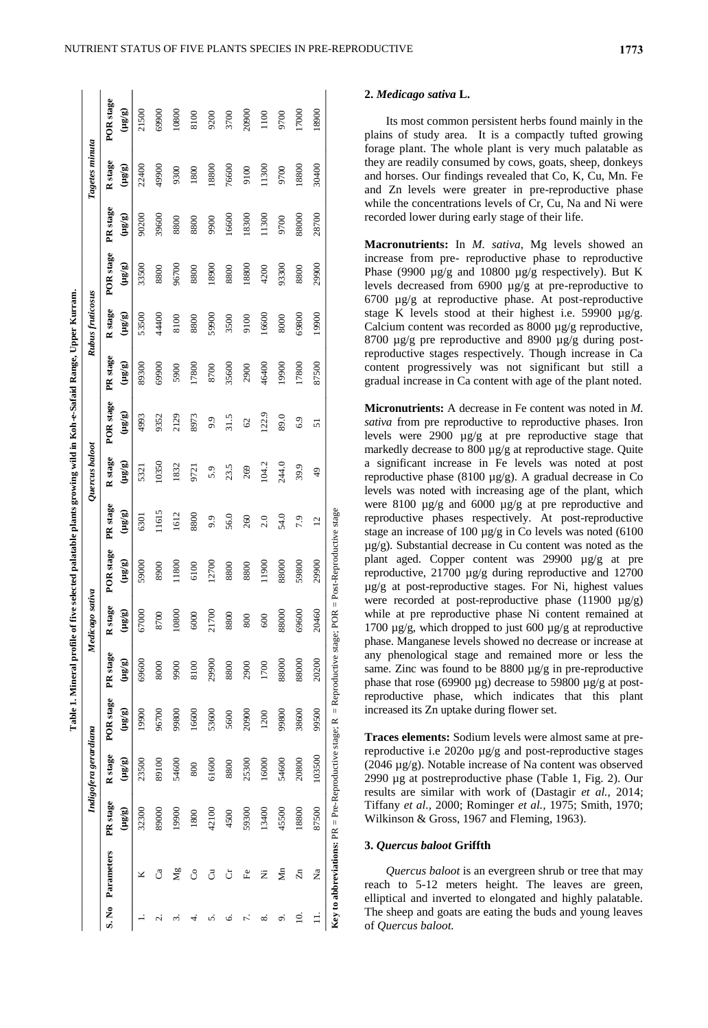|                |                  |          |                             |                                                                                                                 | Table 1. Mineral profile of |                             |                 |                |                 | five selected palatable plants growing wild in Koh-e-Safaid Range, Upper Kurram. |          |                  |                            |             |                                                   |           |
|----------------|------------------|----------|-----------------------------|-----------------------------------------------------------------------------------------------------------------|-----------------------------|-----------------------------|-----------------|----------------|-----------------|----------------------------------------------------------------------------------|----------|------------------|----------------------------|-------------|---------------------------------------------------|-----------|
|                |                  |          | Indigofera gerardiana       |                                                                                                                 |                             | Medicago sativa             |                 |                | Quercus baloot  |                                                                                  |          | Rubus fruticosus |                            |             | Tagetes minuta                                    |           |
|                | S. No Parameters | PR stage | R stage                     | POR stage                                                                                                       | PR stage                    | R stage                     | POR stage       | PR stage       | Rstage          | POR stage                                                                        | PR stage | <b>R</b> stage   | POR stage                  | PR stage    | R stage                                           | POR stage |
|                |                  | (a/an)   | $\overline{a}/\overline{a}$ | $(a\bar{a}$                                                                                                     | (agan)                      | $\overline{\mathsf{a}}$ and | $(a\bar{a}\pi)$ | $(a\bar{a}n)$  | $(a\bar{a}\pi)$ | $(a\bar{a}\pi)$                                                                  | (g/m)    | $(a\bar{a}$      | $\overline{\mathsf{m}}$ gh | $(a\bar{a}$ | $\left( \mathbf{a} \mathbf{a} \mathbf{n} \right)$ | (Fan)     |
|                | ⊻                | 32300    | 23500                       | 19900                                                                                                           | 69600                       | 67000                       | 59000           | 6301           | 5321            | 4993                                                                             | 89300    | 53500            | 33500                      | 90200       | 22400                                             | 21500     |
| نہ<br>         | ්                | 89000    | 89100                       | 96700                                                                                                           | 8000                        | 8700                        | 8900            | 11615          | 10350           | 9352                                                                             | 69900    | 44400            | 8800                       | 39600       | 49900                                             | 69900     |
| 2.             | Μg               | 19900    | 54600                       | 99800                                                                                                           | 9900                        | 10800                       | 11800           | 1612           | 1832            | 2129                                                                             | 5900     | 8100             | 96700                      | 8800        | 9300                                              | 10800     |
| 4              | රි               | 1800     | 800                         | 16600                                                                                                           | 8100                        | 6000                        | 6100            | 8800           | 9721            | 8973                                                                             | 17800    | 8800             | 8800                       | 8800        | 1800                                              | 8100      |
| ົ              | ්                | 42100    | 61600                       | 53600                                                                                                           | 29900                       | 21700                       | 12700           | 9.9            | 5.9             | 9.9                                                                              | 8700     | 59900            | 18900                      | 9900        | 18800                                             | 9200      |
| Ġ.             | ö                | 4500     | 8800                        | 5600                                                                                                            | 8800                        | 8800                        | 8800            | 56.0           | 23.5            | 31.5                                                                             | 35600    | 3500             | 8800                       | 16600       | 76600                                             | 3700      |
| 7.             | Fe               | 59300    | 25300                       | 20900                                                                                                           | 2900                        | 800                         | 8800            | 260            | 269             | 62                                                                               | 2900     | 9100             | 18800                      | 18300       | 9100                                              | 20900     |
| ∞ं             | Ż                | 13400    | 16000                       | 1200                                                                                                            | 1700                        | 600                         | 11900           | 2.0            | 104.2           | 122.9                                                                            | 46400    | 16600            | 4200                       | 11300       | 11300                                             | 1100      |
| ö              | $\sum_{i=1}^{n}$ | 45500    | 54600                       | 99800                                                                                                           | 88000                       | 88000                       | 88000           | 54.0           | 244.0           | 89.0                                                                             | 19900    | 8000             | 93300                      | 9700        | 9700                                              | 9700      |
| $\overline{a}$ | $\overline{z}$   | 18800    | 20800                       | 38600                                                                                                           | 88000                       | 69600                       | 59800           | 7.9            | 39.9            | 6.9                                                                              | 17800    | 69800            | 8800                       | 88000       | 18800                                             | 17000     |
|                | Ž                | 87500    | 103500                      | 99500                                                                                                           | 20200                       | 20460                       | 29900           | $\overline{2}$ | $^{49}$         | 5                                                                                | 87500    | 19900            | 29900                      | 28700       | 30400                                             | 18900     |
|                |                  |          |                             | <b>Key to abbreviations:</b> PR = Pre-Reproductive stage; R = Reproductive stage; POR = Post-Reproductive stage |                             |                             |                 |                |                 |                                                                                  |          |                  |                            |             |                                                   |           |

Its most common persistent herbs found mainly in the plains of study area. It is a compactly tufted growing forage plant. The whole plant is very much palatable as they are readily consumed by cows, goats, sheep, donkeys and horses. Our findings revealed that Co, K, Cu, Mn. Fe and Zn levels were greater in pre-reproductive phase while the concentrations levels of Cr, Cu, Na and Ni were recorded lower during early stage of their life.

**Macronutrients:** In *M. sativa*, Mg levels showed an increase from pre- reproductive phase to reproductive Phase (9900 µg/g and 10800 µg/g respectively). But K levels decreased from 6900 µg/g at pre-reproductive to 6700 µg/g at reproductive phase. At post-reproductive stage K levels stood at their highest i.e. 59900 µg/g. Calcium content was recorded as 8000 µg/g reproductive, 8700 µg/g pre reproductive and 8900 µg/g during postreproductive stages respectively. Though increase in Ca content progressively was not significant but still a gradual increase in Ca content with age of the plant noted.

**Micronutrients:** A decrease in Fe content was noted in *M. sativa* from pre reproductive to reproductive phases. Iron levels were 2900 µg/g at pre reproductive stage that markedly decrease to 800 µg/g at reproductive stage. Quite a significant increase in Fe levels was noted at post reproductive phase (8100 µg/g). A gradual decrease in Co levels was noted with increasing age of the plant, which were 8100 µg/g and 6000 µg/g at pre reproductive and reproductive phases respectively. At post-reproductive stage an increase of 100 µg/g in Co levels was noted (6100 µg/g). Substantial decrease in Cu content was noted as the plant aged. Copper content was 29900 µg/g at pre reproductive, 21700 µg/g during reproductive and 12700 µg/g at post-reproductive stages. For Ni, highest values were recorded at post-reproductive phase  $(11900 \text{ µg/g})$ while at pre reproductive phase Ni content remained at 1700 µg/g, which dropped to just 600 µg/g at reproductive phase. Manganese levels showed no decrease or increase at any phenological stage and remained more or less the same. Zinc was found to be 8800 µg/g in pre-reproductive phase that rose (69900 µg) decrease to 59800 µg/g at postreproductive phase, which indicates that this plant increased its Zn uptake during flower set.

**Traces elements:** Sodium levels were almost same at prereproductive i.e 2020o µg/g and post-reproductive stages (2046 µg/g). Notable increase of Na content was observed 2990 µg at postreproductive phase (Table 1, Fig. 2). Our results are similar with work of (Dastagir *et al.,* 2014; Tiffany *et al.,* 2000; Rominger *et al.,* 1975; Smith, 1970; Wilkinson & Gross, 1967 and Fleming, 1963).

### **3.** *Quercus baloot* **Griffth**

*Quercus baloot* is an evergreen shrub or tree that may reach to 5-12 meters height. The leaves are green, elliptical and inverted to elongated and highly palatable. The sheep and goats are eating the buds and young leaves of *Quercus baloot.*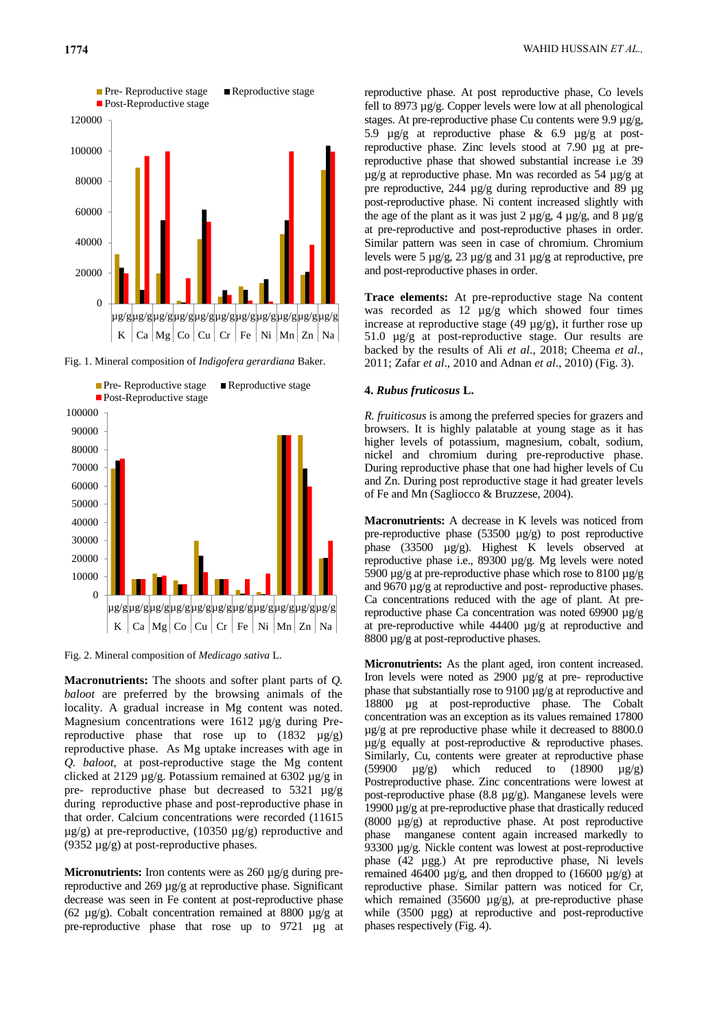

Fig. 1. Mineral composition of *Indigofera gerardiana* Baker.



Fig. 2. Mineral composition of *Medicago sativa* L.

**Macronutrients:** The shoots and softer plant parts of *Q. baloot* are preferred by the browsing animals of the locality. A gradual increase in Mg content was noted. Magnesium concentrations were 1612 µg/g during Prereproductive phase that rose up to  $(1832 \text{ }\mu\text{g/g})$ reproductive phase. As Mg uptake increases with age in *Q. baloot*, at post-reproductive stage the Mg content clicked at 2129 µg/g. Potassium remained at 6302 µg/g in pre- reproductive phase but decreased to  $5321 \mu g/g$ during reproductive phase and post-reproductive phase in that order. Calcium concentrations were recorded (11615  $\mu$ g/g) at pre-reproductive, (10350  $\mu$ g/g) reproductive and (9352 µg/g) at post-reproductive phases.

**Micronutrients:** Iron contents were as 260 µg/g during prereproductive and 269 µg/g at reproductive phase. Significant decrease was seen in Fe content at post-reproductive phase (62 µg/g). Cobalt concentration remained at 8800 µg/g at pre-reproductive phase that rose up to 9721 µg at

reproductive phase. At post reproductive phase, Co levels fell to 8973 µg/g. Copper levels were low at all phenological stages. At pre-reproductive phase Cu contents were 9.9 µg/g, 5.9 µg/g at reproductive phase & 6.9 µg/g at postreproductive phase. Zinc levels stood at 7.90 µg at prereproductive phase that showed substantial increase i.e 39 µg/g at reproductive phase. Mn was recorded as 54 µg/g at pre reproductive, 244 µg/g during reproductive and 89 µg post-reproductive phase. Ni content increased slightly with the age of the plant as it was just 2  $\mu$ g/g, 4  $\mu$ g/g, and 8  $\mu$ g/g at pre-reproductive and post-reproductive phases in order. Similar pattern was seen in case of chromium. Chromium levels were 5 µg/g, 23 µg/g and 31 µg/g at reproductive, pre and post-reproductive phases in order.

**Trace elements:** At pre-reproductive stage Na content was recorded as 12 µg/g which showed four times increase at reproductive stage  $(49 \mu g/g)$ , it further rose up 51.0 µg/g at post-reproductive stage. Our results are backed by the results of Ali *et al*., 2018; Cheema *et al*., 2011; Zafar *et al*., 2010 and Adnan *et al*., 2010) (Fig. 3).

### **4.** *Rubus fruticosus* **L.**

*R. fruiticosus* is among the preferred species for grazers and browsers. It is highly palatable at young stage as it has higher levels of potassium, magnesium, cobalt, sodium, nickel and chromium during pre-reproductive phase. During reproductive phase that one had higher levels of Cu and Zn. During post reproductive stage it had greater levels of Fe and Mn (Sagliocco & Bruzzese, 2004).

**Macronutrients:** A decrease in K levels was noticed from pre-reproductive phase  $(53500 \text{ µg/g})$  to post reproductive phase (33500 µg/g). Highest K levels observed at reproductive phase i.e., 89300 µg/g. Mg levels were noted 5900  $\mu$ g/g at pre-reproductive phase which rose to 8100  $\mu$ g/g and 9670 µg/g at reproductive and post- reproductive phases. Ca concentrations reduced with the age of plant. At prereproductive phase Ca concentration was noted 69900 µg/g at pre-reproductive while 44400 µg/g at reproductive and 8800  $\mu$ g/g at post-reproductive phases.

**Micronutrients:** As the plant aged, iron content increased. Iron levels were noted as 2900 µg/g at pre- reproductive phase that substantially rose to 9100 µg/g at reproductive and 18800 µg at post-reproductive phase. The Cobalt concentration was an exception as its values remained 17800 µg/g at pre reproductive phase while it decreased to 8800.0 µg/g equally at post-reproductive & reproductive phases. Similarly, Cu, contents were greater at reproductive phase  $(59900 \quad \mu$ g/g) which reduced to  $(18900 \quad \mu$ g/g) Postreproductive phase. Zinc concentrations were lowest at post-reproductive phase (8.8 µg/g). Manganese levels were 19900 µg/g at pre-reproductive phase that drastically reduced (8000 µg/g) at reproductive phase. At post reproductive phase manganese content again increased markedly to 93300 µg/g. Nickle content was lowest at post-reproductive phase (42 µgg.) At pre reproductive phase, Ni levels remained 46400  $\mu$ g/g, and then dropped to (16600  $\mu$ g/g) at reproductive phase. Similar pattern was noticed for Cr, which remained (35600  $\mu$ g/g), at pre-reproductive phase while (3500 µgg) at reproductive and post-reproductive phases respectively (Fig. 4).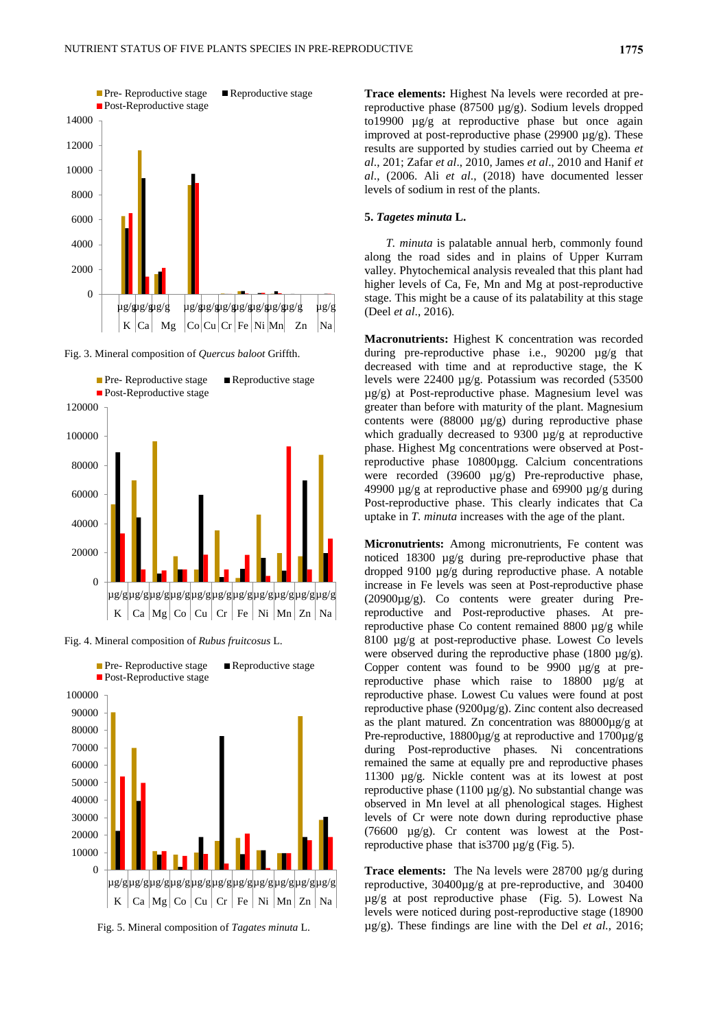

Fig. 3. Mineral composition of *Quercus baloot* Griffth.



Fig. 4. Mineral composition of *Rubus fruitcosus* L.



Fig. 5. Mineral composition of *Tagates minuta* L.

**Trace elements:** Highest Na levels were recorded at prereproductive phase (87500 µg/g). Sodium levels dropped to19900 µg/g at reproductive phase but once again improved at post-reproductive phase (29900 µg/g). These results are supported by studies carried out by Cheema *et al*., 201; Zafar *et al*., 2010, James *et al*., 2010 and Hanif *et al*., (2006. Ali *et al*., (2018) have documented lesser levels of sodium in rest of the plants.

#### **5.** *Tagetes minuta* **L.**

*T. minuta* is palatable annual herb, commonly found along the road sides and in plains of Upper Kurram valley. Phytochemical analysis revealed that this plant had higher levels of Ca, Fe, Mn and Mg at post-reproductive stage. This might be a cause of its palatability at this stage (Deel *et al*., 2016).

**Macronutrients:** Highest K concentration was recorded during pre-reproductive phase i.e., 90200 µg/g that decreased with time and at reproductive stage, the K levels were 22400 µg/g. Potassium was recorded (53500 µg/g) at Post-reproductive phase. Magnesium level was greater than before with maturity of the plant. Magnesium contents were  $(88000 \text{ µg/g})$  during reproductive phase which gradually decreased to 9300 µg/g at reproductive phase. Highest Mg concentrations were observed at Postreproductive phase 10800µgg. Calcium concentrations were recorded (39600 µg/g) Pre-reproductive phase, 49900 µg/g at reproductive phase and 69900 µg/g during Post-reproductive phase. This clearly indicates that Ca uptake in *T. minuta* increases with the age of the plant.

**Micronutrients:** Among micronutrients, Fe content was noticed 18300 µg/g during pre-reproductive phase that dropped 9100 µg/g during reproductive phase. A notable increase in Fe levels was seen at Post-reproductive phase (20900µg/g). Co contents were greater during Prereproductive and Post-reproductive phases. At prereproductive phase Co content remained 8800 µg/g while 8100  $\mu$ g/g at post-reproductive phase. Lowest Co levels were observed during the reproductive phase (1800 µg/g). Copper content was found to be 9900 µg/g at prereproductive phase which raise to 18800 µg/g at reproductive phase. Lowest Cu values were found at post reproductive phase (9200µg/g). Zinc content also decreased as the plant matured. Zn concentration was 88000µg/g at Pre-reproductive, 18800µg/g at reproductive and 1700µg/g during Post-reproductive phases. Ni concentrations remained the same at equally pre and reproductive phases 11300 µg/g. Nickle content was at its lowest at post reproductive phase  $(1100 \mu g/g)$ . No substantial change was observed in Mn level at all phenological stages. Highest levels of Cr were note down during reproductive phase (76600 µg/g). Cr content was lowest at the Postreproductive phase that is3700 µg/g (Fig. 5).

**Trace elements:** The Na levels were 28700 µg/g during reproductive, 30400µg/g at pre-reproductive, and 30400 µg/g at post reproductive phase (Fig. 5). Lowest Na levels were noticed during post-reproductive stage (18900 µg/g). These findings are line with the Del *et al.,* 2016;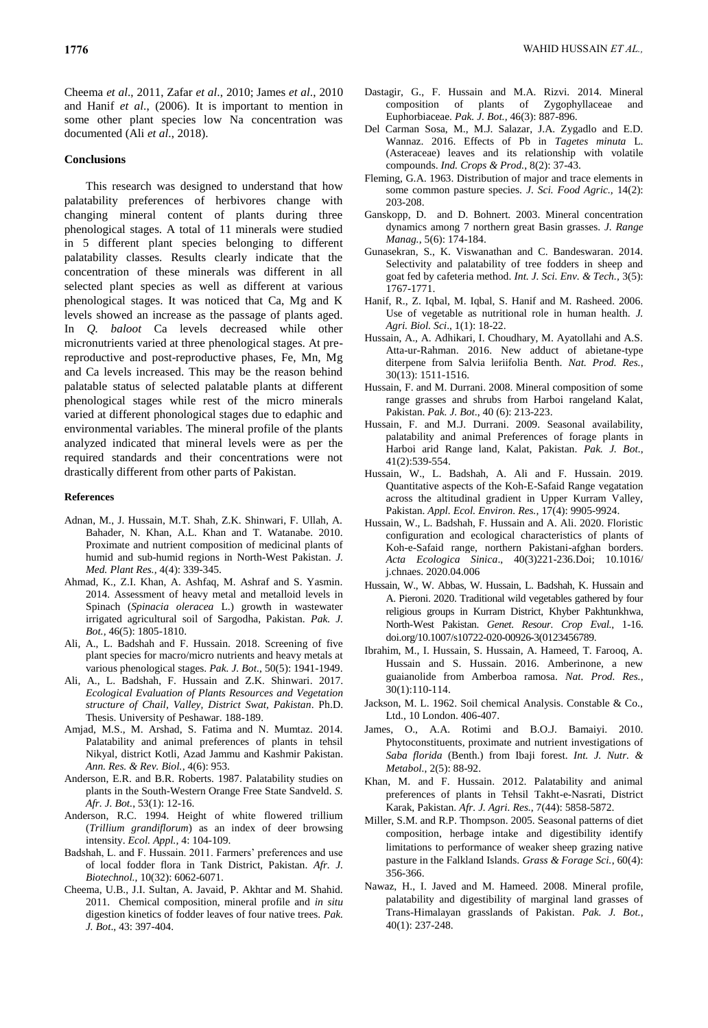Cheema *et al*., 2011, Zafar *et al*., 2010; James *et al*., 2010 and Hanif *et al*., (2006). It is important to mention in some other plant species low Na concentration was documented (Ali *et al*., 2018).

### **Conclusions**

This research was designed to understand that how palatability preferences of herbivores change with changing mineral content of plants during three phenological stages. A total of 11 minerals were studied in 5 different plant species belonging to different palatability classes. Results clearly indicate that the concentration of these minerals was different in all selected plant species as well as different at various phenological stages. It was noticed that Ca, Mg and K levels showed an increase as the passage of plants aged. In *Q. baloot* Ca levels decreased while other micronutrients varied at three phenological stages. At prereproductive and post-reproductive phases, Fe, Mn, Mg and Ca levels increased. This may be the reason behind palatable status of selected palatable plants at different phenological stages while rest of the micro minerals varied at different phonological stages due to edaphic and environmental variables. The mineral profile of the plants analyzed indicated that mineral levels were as per the required standards and their concentrations were not drastically different from other parts of Pakistan.

#### **References**

- Adnan, M., J. Hussain, M.T. Shah, Z.K. Shinwari, F. Ullah, A. Bahader, N. Khan, A.L. Khan and T. Watanabe. 2010. Proximate and nutrient composition of medicinal plants of humid and sub-humid regions in North-West Pakistan. *J. Med. Plant Res.,* 4(4): 339-345.
- Ahmad, K., Z.I. Khan, A. Ashfaq, M. Ashraf and S. Yasmin. 2014. Assessment of heavy metal and metalloid levels in Spinach (*Spinacia oleracea* L.) growth in wastewater irrigated agricultural soil of Sargodha, Pakistan. *Pak. J. Bot.,* 46(5): 1805-1810.
- Ali, A., L. Badshah and F. Hussain. 2018. Screening of five plant species for macro/micro nutrients and heavy metals at various phenological stages. *Pak. J. Bot.*, 50(5): 1941-1949.
- Ali, A., L. Badshah, F. Hussain and Z.K. Shinwari. 2017. *Ecological Evaluation of Plants Resources and Vegetation structure of Chail, Valley, District Swat, Pakistan*. Ph.D. Thesis. University of Peshawar. 188-189.
- Amjad, M.S., M. Arshad, S. Fatima and N. Mumtaz. 2014. Palatability and animal preferences of plants in tehsil Nikyal, district Kotli, Azad Jammu and Kashmir Pakistan. *Ann. Res. & Rev. Biol.*, 4(6): 953.
- Anderson, E.R. and B.R. Roberts. 1987. Palatability studies on plants in the South-Western Orange Free State Sandveld. *S. Afr. J. Bot.*, 53(1): 12-16.
- Anderson, R.C. 1994. Height of white flowered trillium (*Trillium grandiflorum*) as an index of deer browsing intensity. *Ecol. Appl.,* 4: 104-109.
- Badshah, L. and F. Hussain. 2011. Farmers' preferences and use of local fodder flora in Tank District, Pakistan. *Afr. J. Biotechnol.,* 10(32): 6062-6071.
- Cheema, U.B., J.I. Sultan, A. Javaid, P. Akhtar and M. Shahid. 2011. Chemical composition, mineral profile and *in situ*  digestion kinetics of fodder leaves of four native trees. *Pak. J. Bot*., 43: 397-404.
- Dastagir, G., F. Hussain and M.A. Rizvi. 2014. Mineral composition of plants of Zygophyllaceae and Euphorbiaceae. *Pak. J. Bot.,* 46(3): 887-896.
- Del Carman Sosa, M., M.J. Salazar, J.A. Zygadlo and E.D. Wannaz. 2016. Effects of Pb in *Tagetes minuta* L. (Asteraceae) leaves and its relationship with volatile compounds. *Ind. Crops & Prod.*, 8(2): 37-43.
- Fleming, G.A. 1963. Distribution of major and trace elements in some common pasture species. *J. Sci. Food Agric.,* 14(2): 203-208.
- Ganskopp, D. and D. Bohnert. 2003. Mineral concentration dynamics among 7 northern great Basin grasses. *J. Range Manag.*, 5(6): 174-184.
- Gunasekran, S., K. Viswanathan and C. Bandeswaran. 2014. Selectivity and palatability of tree fodders in sheep and goat fed by cafeteria method. *Int. J. Sci. Env. & Tech.,* 3(5): 1767-1771.
- Hanif, R., Z. Iqbal, M. Iqbal, S. Hanif and M. Rasheed. 2006. Use of vegetable as nutritional role in human health. *J. Agri. Biol. Sci*., 1(1): 18-22.
- Hussain, A., A. Adhikari, I. Choudhary, M. Ayatollahi and A.S. Atta-ur-Rahman. 2016. New adduct of abietane-type diterpene from Salvia leriifolia Benth. *Nat. Prod. Res.*, 30(13): 1511-1516.
- Hussain, F. and M. Durrani. 2008. Mineral composition of some range grasses and shrubs from Harboi rangeland Kalat, Pakistan. *Pak. J. Bot*., 40 (6): 213-223.
- Hussain, F. and M.J. Durrani. 2009. Seasonal availability, palatability and animal Preferences of forage plants in Harboi arid Range land, Kalat, Pakistan. *Pak. J. Bot.*, 41(2):539-554.
- Hussain, W., L. Badshah, A. Ali and F. Hussain. 2019. Quantitative aspects of the Koh-E-Safaid Range vegatation across the altitudinal gradient in Upper Kurram Valley, Pakistan. *Appl. Ecol. Environ. Res.,* 17(4): 9905-9924.
- Hussain, W., L. Badshah, F. Hussain and A. Ali. 2020. Floristic configuration and ecological characteristics of plants of Koh-e-Safaid range, northern Pakistani-afghan borders. *Acta Ecologica Sinica*., 40(3)221-236.Doi; [10.1016/](https://www.researchgate.net/deref/http%3A%2F%2Fdx.doi.org%2F10.1016%2Fj.chnaes.2020.04.006?_sg%5B0%5D=kPVghpY-hOg0iLicQODbS2pUEjBQZE9srxRmbw8k9L7GBeD_fWd0hNkSD8rw37P2NOAWo8eu_4opZdShGrZTTIrmLA.eYkry7UKEo9_bpDeHIzCxmpUpJlL0vkbv5Y5A99EPk8VRyt8g1KVvC_K4hFmnohiZHSPTIWSrRv5QTnmgZZQ3g) j.chnaes. [2020.04.006](https://www.researchgate.net/deref/http%3A%2F%2Fdx.doi.org%2F10.1016%2Fj.chnaes.2020.04.006?_sg%5B0%5D=kPVghpY-hOg0iLicQODbS2pUEjBQZE9srxRmbw8k9L7GBeD_fWd0hNkSD8rw37P2NOAWo8eu_4opZdShGrZTTIrmLA.eYkry7UKEo9_bpDeHIzCxmpUpJlL0vkbv5Y5A99EPk8VRyt8g1KVvC_K4hFmnohiZHSPTIWSrRv5QTnmgZZQ3g)
- Hussain, W., W. Abbas, W. Hussain, L. Badshah, K. Hussain and A. Pieroni. 2020. Traditional wild vegetables gathered by four religious groups in Kurram District, Khyber Pakhtunkhwa, North-West Pakistan. *Genet. Resour. Crop Eval.*, 1-16. doi.org/10.1007/s10722-020-00926-3(0123456789.
- Ibrahim, M., I. Hussain, S. Hussain, A. Hameed, T. Farooq, A. Hussain and S. Hussain. 2016. Amberinone, a new guaianolide from Amberboa ramosa. *Nat. Prod. Res.*, 30(1):110-114.
- Jackson, M. L. 1962. Soil chemical Analysis. Constable & Co., Ltd., 10 London. 406-407.
- James, O., A.A. Rotimi and B.O.J. Bamaiyi. 2010. Phytoconstituents, proximate and nutrient investigations of *Saba florida* (Benth.) from Ibaji forest. *Int. J. Nutr. & Metabol.*, 2(5): 88-92.
- Khan, M. and F. Hussain. 2012. Palatability and animal preferences of plants in Tehsil Takht-e-Nasrati, District Karak, Pakistan. *Afr. J. Agri. Res.*, 7(44): 5858-5872.
- Miller, S.M. and R.P. Thompson. 2005. Seasonal patterns of diet composition, herbage intake and digestibility identify limitations to performance of weaker sheep grazing native pasture in the Falkland Islands. *Grass & Forage Sci.*, 60(4): 356-366.
- Nawaz, H., I. Javed and M. Hameed. 2008. Mineral profile, palatability and digestibility of marginal land grasses of Trans-Himalayan grasslands of Pakistan. *Pak. J. Bot.*, 40(1): 237-248.